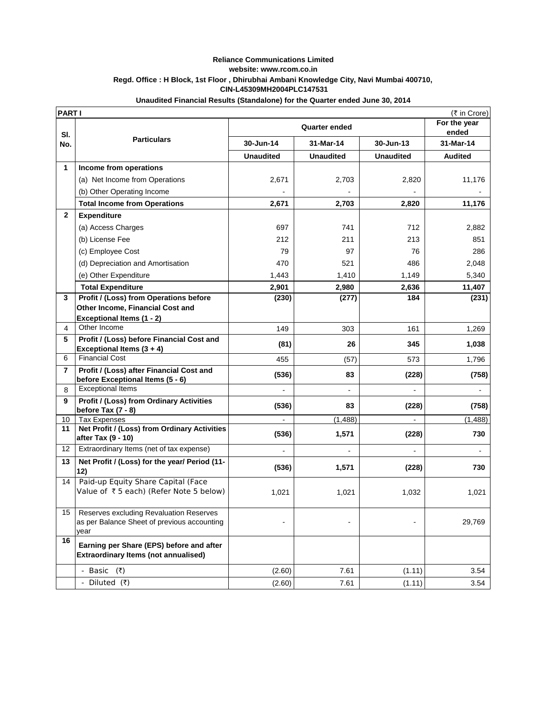## **Reliance Communications Limited website: www.rcom.co.in Regd. Office : H Block, 1st Floor , Dhirubhai Ambani Knowledge City, Navi Mumbai 400710, CIN-L45309MH2004PLC147531**

## **PART I** (₹ in Crore) **For the year ended 30-Jun-14 31-Mar-14 30-Jun-13 31-Mar-14 Unaudited Unaudited Unaudited Audited 1 Income from operations** (a) Net Income from Operations (a) 2,671 2,703 2,820 11,176 (b) Other Operating Income  **Total Income from Operations** 11,176 2,671 2,703 2,820 11,176 **2 Expenditure**  (a) Access Charges (a) **697** 741 712 2,882 (b) License Fee 212 212 211 213 213 851 (c) Employee Cost 1 79 37 97 76 286 (d) Depreciation and Amortisation  $(470)$  470  $(521)$  486 486 2,048 (e) Other Expenditure 1,443 1,443 1,440 1,449 1,149 5,340  **Total Expenditure**  11,407 **2,901 2,901 2,980 2,636 2,636 11,407 3 Profit / (Loss) from Operations before Other Income, Financial Cost and Exceptional Items (1 - 2) (230) (277) 184 (231)** 4 Other Income 149 149 303 161 1,269 **5 Profit / (Loss) before Financial Cost and Exceptional Items (3 + 4) (81) 26 345 1,038**  6 Financial Cost 455 (57) 573 1,796 **7 Profit / (Loss) after Financial Cost and before Exceptional Items (5 - 6) (536) 83 (228) (758) (758) (758)** 8 Exceptional Items - - - - **9 Profit / (Loss) from Ordinary Activities before Tax (7 - 8) (536) 83 (228) (758)** 10 Tax Expenses 10 Tax Expenses 10 Tax Expenses 10 Tax Expenses 10.488) **11 Net Profit / (Loss) from Ordinary Activities after Tax (9 - 10)** 1,571 **(228)** 1,571 (228) **1,571** (228) 12 Extraordinary Items (net of tax expense) - - - - **13 Net Profit / (Loss) for the year/ Period (11-** 12) **1,571 1,571 1,571 1,528) 1,570 1,571 1,571 1,571 1,571 1,671 1,671 1,671 1,671 1,671 1,671 1,671 1,671 1,671 1,671 1,671 1,671 1,671 1,671 1,671 1,671 1,671 1,671** 14 | Paid-up Equity Share Capital (Face Value of  $\bar{x}$  5 each) (Refer Note 5 below)  $\begin{vmatrix} 1,021 & 1,021 \\ 1,021 & 1,021 \end{vmatrix}$  1,032 1,021 15 Reserves excluding Revaluation Reserves as per Balance Sheet of previous accounting year - | 29,769 **16 Earning per Share (EPS) before and after Extraordinary Items (not annualised)**  - Basic (₹) (2.60) 7.61 (1.11) 3.54 - Diluted (₹) (2.60) 7.61 (1.11) 3.54 **Sl. No. Particulars Quarter ended**

## **Unaudited Financial Results (Standalone) for the Quarter ended June 30, 2014**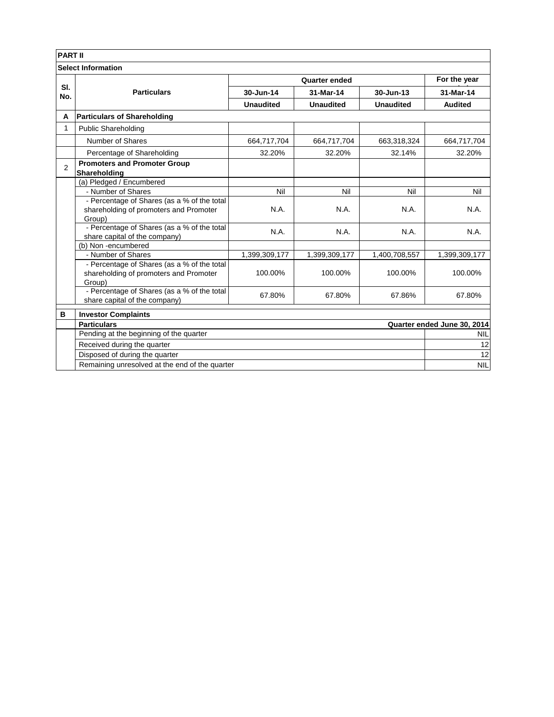| <b>PART II</b>            |                                                     |                  |                  |                  |                             |  |
|---------------------------|-----------------------------------------------------|------------------|------------------|------------------|-----------------------------|--|
| <b>Select Information</b> |                                                     |                  |                  |                  |                             |  |
|                           | <b>Particulars</b>                                  | Quarter ended    |                  |                  | For the year                |  |
| SI.<br>No.                |                                                     | 30-Jun-14        | 31-Mar-14        | 30-Jun-13        | 31-Mar-14                   |  |
|                           |                                                     | <b>Unaudited</b> | <b>Unaudited</b> | <b>Unaudited</b> | <b>Audited</b>              |  |
| A                         | <b>Particulars of Shareholding</b>                  |                  |                  |                  |                             |  |
| $\mathbf{1}$              | <b>Public Shareholding</b>                          |                  |                  |                  |                             |  |
|                           | Number of Shares                                    | 664,717,704      | 664,717,704      | 663,318,324      | 664,717,704                 |  |
|                           | Percentage of Shareholding                          | 32.20%           | 32.20%           | 32.14%           | 32.20%                      |  |
| $\overline{2}$            | <b>Promoters and Promoter Group</b><br>Shareholding |                  |                  |                  |                             |  |
|                           | (a) Pledged / Encumbered                            |                  |                  |                  |                             |  |
|                           | - Number of Shares                                  | Nil              | Nil              | Nil              | Nil                         |  |
|                           | - Percentage of Shares (as a % of the total         |                  |                  |                  |                             |  |
|                           | shareholding of promoters and Promoter              | N.A.             | N.A.             | N.A.             | N.A.                        |  |
|                           | Group)                                              |                  |                  |                  |                             |  |
|                           | - Percentage of Shares (as a % of the total         | N.A.             | N.A.             | N.A.             | N.A.                        |  |
|                           | share capital of the company)                       |                  |                  |                  |                             |  |
|                           | (b) Non-encumbered<br>- Number of Shares            |                  |                  | 1,400,708,557    |                             |  |
|                           | - Percentage of Shares (as a % of the total         | 1,399,309,177    | 1,399,309,177    |                  | 1,399,309,177               |  |
|                           | shareholding of promoters and Promoter              | 100.00%          | 100.00%          | 100.00%          | 100.00%                     |  |
|                           | Group)                                              |                  |                  |                  |                             |  |
|                           | - Percentage of Shares (as a % of the total         | 67.80%           | 67.80%           | 67.86%           | 67.80%                      |  |
|                           | share capital of the company)                       |                  |                  |                  |                             |  |
| в                         | <b>Investor Complaints</b>                          |                  |                  |                  |                             |  |
|                           | <b>Particulars</b>                                  |                  |                  |                  | Quarter ended June 30, 2014 |  |
|                           | Pending at the beginning of the quarter             |                  |                  |                  | <b>NIL</b>                  |  |
|                           | Received during the quarter                         |                  |                  |                  | 12                          |  |
|                           | Disposed of during the quarter                      |                  |                  |                  | 12                          |  |
|                           | Remaining unresolved at the end of the quarter      |                  |                  |                  | <b>NIL</b>                  |  |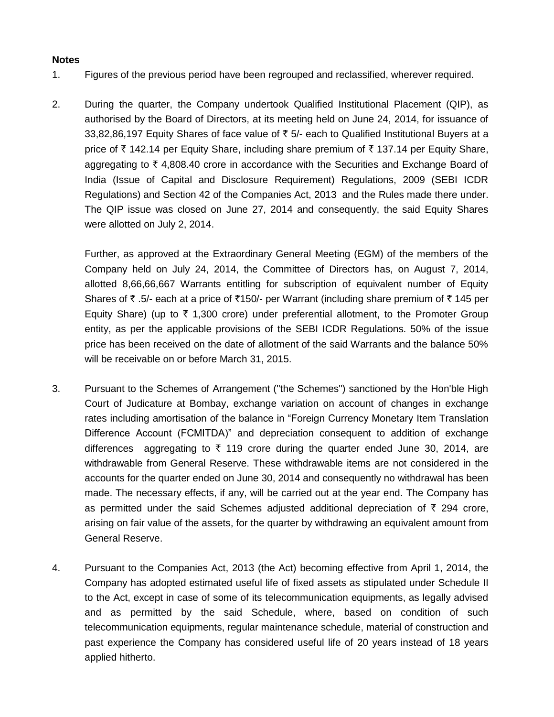## **Notes**

- 1. Figures of the previous period have been regrouped and reclassified, wherever required.
- 2. During the quarter, the Company undertook Qualified Institutional Placement (QIP), as authorised by the Board of Directors, at its meeting held on June 24, 2014, for issuance of 33,82,86,197 Equity Shares of face value of  $\bar{\tau}$  5/- each to Qualified Institutional Buyers at a price of ₹ 142.14 per Equity Share, including share premium of ₹ 137.14 per Equity Share, aggregating to  $\bar{\tau}$  4,808.40 crore in accordance with the Securities and Exchange Board of India (Issue of Capital and Disclosure Requirement) Regulations, 2009 (SEBI ICDR Regulations) and Section 42 of the Companies Act, 2013 and the Rules made there under. The QIP issue was closed on June 27, 2014 and consequently, the said Equity Shares were allotted on July 2, 2014.

Further, as approved at the Extraordinary General Meeting (EGM) of the members of the Company held on July 24, 2014, the Committee of Directors has, on August 7, 2014, allotted 8,66,66,667 Warrants entitling for subscription of equivalent number of Equity Shares of ₹ .5/- each at a price of ₹150/- per Warrant (including share premium of ₹ 145 per Equity Share) (up to  $\bar{\tau}$  1,300 crore) under preferential allotment, to the Promoter Group entity, as per the applicable provisions of the SEBI ICDR Regulations. 50% of the issue price has been received on the date of allotment of the said Warrants and the balance 50% will be receivable on or before March 31, 2015.

- 3. Pursuant to the Schemes of Arrangement ("the Schemes") sanctioned by the Hon'ble High Court of Judicature at Bombay, exchange variation on account of changes in exchange rates including amortisation of the balance in "Foreign Currency Monetary Item Translation Difference Account (FCMITDA)" and depreciation consequent to addition of exchange differences aggregating to  $\bar{\tau}$  119 crore during the quarter ended June 30, 2014, are withdrawable from General Reserve. These withdrawable items are not considered in the accounts for the quarter ended on June 30, 2014 and consequently no withdrawal has been made. The necessary effects, if any, will be carried out at the year end. The Company has as permitted under the said Schemes adjusted additional depreciation of  $\bar{\tau}$  294 crore, arising on fair value of the assets, for the quarter by withdrawing an equivalent amount from General Reserve.
- 4. Pursuant to the Companies Act, 2013 (the Act) becoming effective from April 1, 2014, the Company has adopted estimated useful life of fixed assets as stipulated under Schedule II to the Act, except in case of some of its telecommunication equipments, as legally advised and as permitted by the said Schedule, where, based on condition of such telecommunication equipments, regular maintenance schedule, material of construction and past experience the Company has considered useful life of 20 years instead of 18 years applied hitherto.